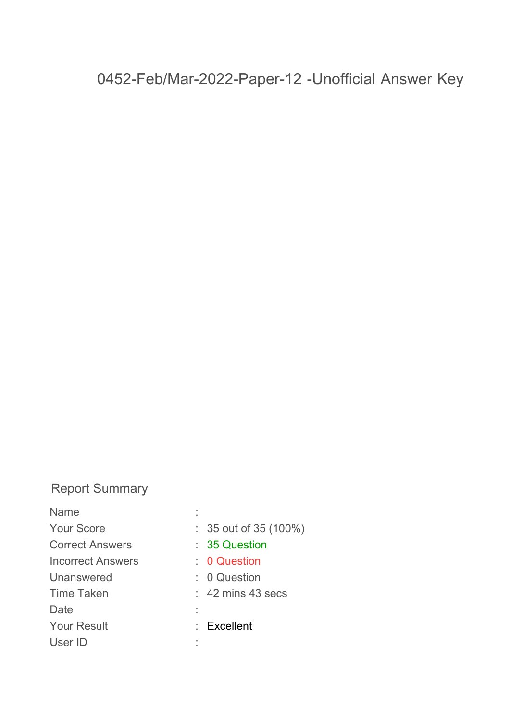# **Report Summary**

| Name                     |                                      |
|--------------------------|--------------------------------------|
| <b>Your Score</b>        | $: 35$ out of 35 (100%)              |
| <b>Correct Answers</b>   | : 35 Question                        |
| <b>Incorrect Answers</b> | $\therefore$ 0 Question              |
| Unanswered               | $\therefore$ 0 Question              |
| <b>Time Taken</b>        | $: 42 \text{ mins } 43 \text{ secs}$ |
| Date                     |                                      |
| <b>Your Result</b>       | $:$ Excellent                        |
| User ID                  |                                      |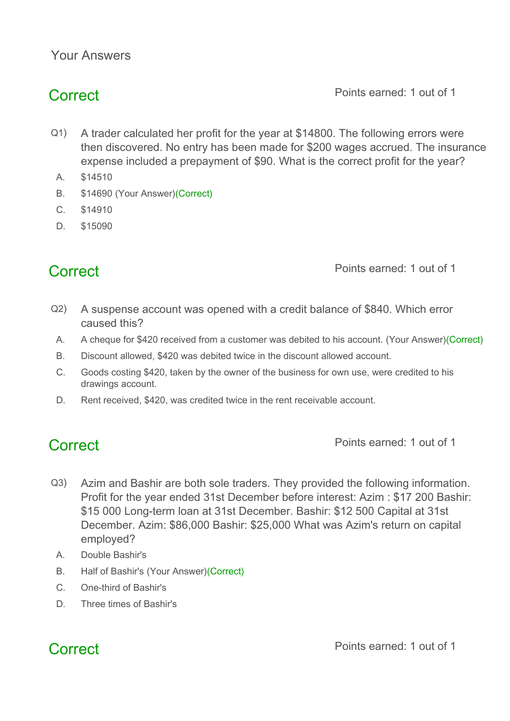## **Your Answers**

**Correct Points earned: 1 out of 1** 

- Q1) A trader calculated her profit for the year at \$14800. The following errors were then discovered. No entry has been made for \$200 wages accrued. The insurance expense included a prepayment of \$90. What is the correct profit for the year?
	- A. \$14510
	- B. \$14690 (Your Answer)(Correct)
	- C. \$14910
- D. \$15090

**Correct Points earned: 1 out of 1** 

- Q2) A suspense account was opened with a credit balance of \$840. Which error caused this?
- A. A cheque for \$420 received from a customer was debited to his account. (Your Answer)(Correct)
- B. Discount allowed, \$420 was debited twice in the discount allowed account.
- C. Goods costing \$420, taken by the owner of the business for own use, were credited to his drawings account.
- D. Rent received, \$420, was credited twice in the rent receivable account.

**Correct Points earned: 1 out of 1** 

- Q3) Azim and Bashir are both sole traders. They provided the following information. Profit for the year ended 31st December before interest: Azim : \$17 200 Bashir: \$15 000 Long-term loan at 31st December. Bashir: \$12 500 Capital at 31st December. Azim: \$86,000 Bashir: \$25,000 What was Azim's return on capital employed?
	- A. Double Bashir's
	- B. Half of Bashir's (Your Answer)(Correct)
	- C. One-third of Bashir's
	- D. Three times of Bashir's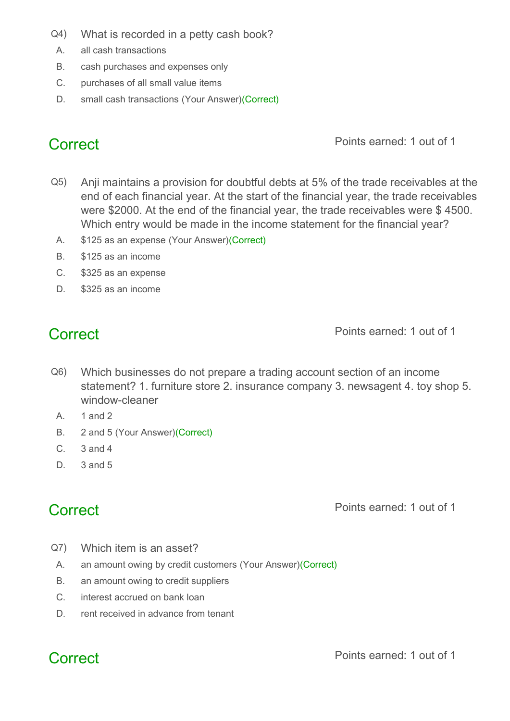- Q4) What is recorded in a petty cash book?
- A. all cash transactions
- B. cash purchases and expenses only
- C. purchases of all small value items
- D. small cash transactions (Your Answer)(Correct)

- Q5) Anji maintains a provision for doubtful debts at 5% of the trade receivables at the end of each financial year. At the start of the financial year, the trade receivables were \$2000. At the end of the financial year, the trade receivables were \$ 4500. Which entry would be made in the income statement for the financial year?
- A. \$125 as an expense (Your Answer)(Correct)
- B. \$125 as an income
- C. \$325 as an expense
- D. \$325 as an income

**Correct Points earned: 1 out of 1** 

- Q6) Which businesses do not prepare a trading account section of an income statement? 1. furniture store 2. insurance company 3. newsagent 4. toy shop 5. window-cleaner
	- A. 1 and 2
	- B. 2 and 5 (Your Answer)(Correct)
	- C. 3 and 4
	- $D = 3$  and 5

**Correct Points earned: 1 out of 1** 

- Q7) Which item is an asset?
- A. an amount owing by credit customers (Your Answer)(Correct)
- B. an amount owing to credit suppliers
- C. interest accrued on bank loan
- D. rent received in advance from tenant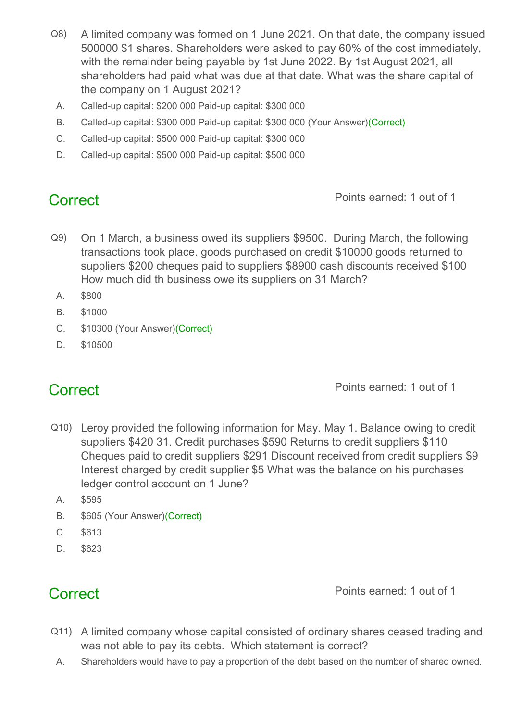- Q8) A limited company was formed on 1 June 2021. On that date, the company issued 500000 \$1 shares. Shareholders were asked to pay 60% of the cost immediately, with the remainder being payable by 1st June 2022. By 1st August 2021, all shareholders had paid what was due at that date. What was the share capital of the company on 1 August 2021?
	- A. Called-up capital: \$200 000 Paid-up capital: \$300 000
- B. Called-up capital: \$300 000 Paid-up capital: \$300 000 (Your Answer)(Correct)
- C. Called-up capital: \$500 000 Paid-up capital: \$300 000
- D. Called-up capital: \$500 000 Paid-up capital: \$500 000

- Q9) On 1 March, a business owed its suppliers \$9500. During March, the following transactions took place. goods purchased on credit \$10000 goods returned to suppliers \$200 cheques paid to suppliers \$8900 cash discounts received \$100 How much did th business owe its suppliers on 31 March?
- A. \$800
- B. \$1000
- C. \$10300 (Your Answer)(Correct)
- D. \$10500

**Correct Points earned: 1 out of 1** 

- Q10) Leroy provided the following information for May. May 1. Balance owing to credit suppliers \$420 31. Credit purchases \$590 Returns to credit suppliers \$110 Cheques paid to credit suppliers \$291 Discount received from credit suppliers \$9 Interest charged by credit supplier \$5 What was the balance on his purchases ledger control account on 1 June?
	- A. \$595
	- B. \$605 (Your Answer)(Correct)
	- C. \$613
	- D. \$623

- Q11) A limited company whose capital consisted of ordinary shares ceased trading and was not able to pay its debts. Which statement is correct?
- A. Shareholders would have to pay a proportion of the debt based on the number of shared owned.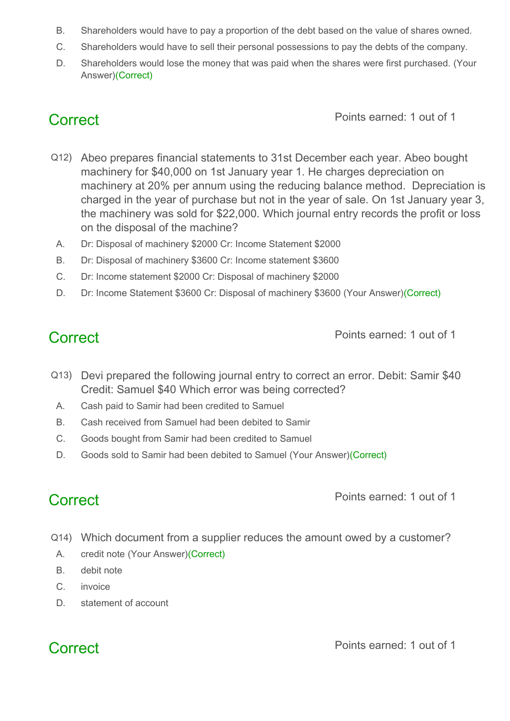- B. Shareholders would have to pay a proportion of the debt based on the value of shares owned.
- C. Shareholders would have to sell their personal possessions to pay the debts of the company.
- D. Shareholders would lose the money that was paid when the shares were first purchased. (Your Answer)(Correct)

- Q12) Abeo prepares financial statements to 31st December each year. Abeo bought machinery for \$40,000 on 1st January year 1. He charges depreciation on machinery at 20% per annum using the reducing balance method. Depreciation is charged in the year of purchase but not in the year of sale. On 1st January year 3, the machinery was sold for \$22,000. Which journal entry records the profit or loss on the disposal of the machine?
	- A. Dr: Disposal of machinery \$2000 Cr: Income Statement \$2000
	- B. Dr: Disposal of machinery \$3600 Cr: Income statement \$3600
	- C. Dr: Income statement \$2000 Cr: Disposal of machinery \$2000
- D. Dr: Income Statement \$3600 Cr: Disposal of machinery \$3600 (Your Answer)(Correct)

**Correct Points earned: 1 out of 1** 

- Q13) Devi prepared the following journal entry to correct an error. Debit: Samir \$40 Credit: Samuel \$40 Which error was being corrected?
	- A. Cash paid to Samir had been credited to Samuel
	- B. Cash received from Samuel had been debited to Samir
	- C. Goods bought from Samir had been credited to Samuel
	- D. Goods sold to Samir had been debited to Samuel (Your Answer)(Correct)

**Correct Points earned: 1 out of 1** 

- Q14) Which document from a supplier reduces the amount owed by a customer?
- A. credit note (Your Answer)(Correct)
- B. debit note
- C. invoice
- D. statement of account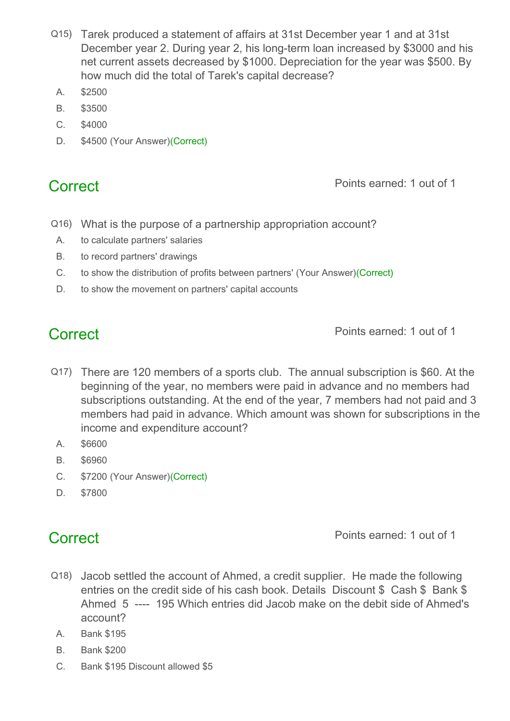- Q15) Tarek produced a statement of affairs at 31st December year 1 and at 31st December year 2. During year 2, his long-term loan increased by \$3000 and his net current assets decreased by \$1000. Depreciation for the year was \$500. By how much did the total of Tarek's capital decrease?
	- A. \$2500
	- B. \$3500
	- C. \$4000
	- D. \$4500 (Your Answer)(Correct)

- Q16) What is the purpose of a partnership appropriation account?
- A. to calculate partners' salaries
- B. to record partners' drawings
- C. to show the distribution of profits between partners' (Your Answer)(Correct)
- D. to show the movement on partners' capital accounts

**Correct Points earned: 1 out of 1** 

- Q17) There are 120 members of a sports club. The annual subscription is \$60. At the beginning of the year, no members were paid in advance and no members had subscriptions outstanding. At the end of the year, 7 members had not paid and 3 members had paid in advance. Which amount was shown for subscriptions in the income and expenditure account?
	- A. \$6600
	- B. \$6960
	- C. \$7200 (Your Answer)(Correct)
	- D. \$7800

- Q18) Jacob settled the account of Ahmed, a credit supplier. He made the following entries on the credit side of his cash book. Details Discount \$ Cash \$ Bank \$ Ahmed 5 ---- 195 Which entries did Jacob make on the debit side of Ahmed's account?
	- A. Bank \$195
	- B. Bank \$200
	- C. Bank \$195 Discount allowed \$5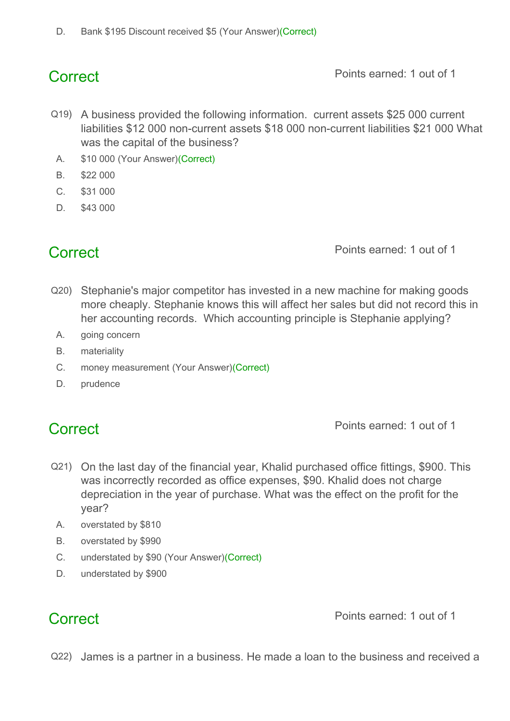- Q19) A business provided the following information. current assets \$25 000 current liabilities \$12 000 non-current assets \$18 000 non-current liabilities \$21 000 What was the capital of the business?
- A. \$10 000 (Your Answer)(Correct)
- B. \$22 000
- C. \$31 000
- D. \$43 000

**Correct Points earned: 1 out of 1** 

- Q20) Stephanie's major competitor has invested in a new machine for making goods more cheaply. Stephanie knows this will affect her sales but did not record this in her accounting records. Which accounting principle is Stephanie applying?
	- A. going concern
	- B. materiality
	- C. money measurement (Your Answer)(Correct)
	- D. prudence

**Correct Points earned: 1 out of 1** 

- Q21) On the last day of the financial year, Khalid purchased office fittings, \$900. This was incorrectly recorded as office expenses, \$90. Khalid does not charge depreciation in the year of purchase. What was the effect on the profit for the year?
	- A. overstated by \$810
	- B. overstated by \$990
	- C. understated by \$90 (Your Answer)(Correct)
	- D. understated by \$900

**Correct Points earned: 1 out of 1** 

Q22) James is a partner in a business. He made a loan to the business and received a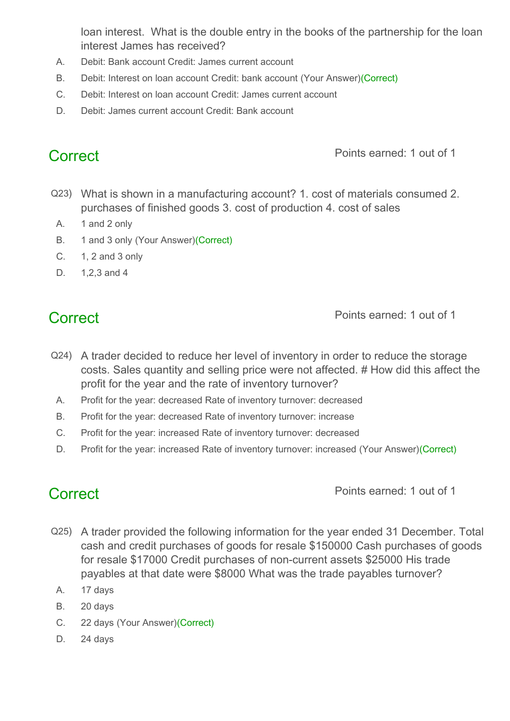loan interest. What is the double entry in the books of the partnership for the loan interest James has received?

- A. Debit: Bank account Credit: James current account
- B. Debit: Interest on loan account Credit: bank account (Your Answer)(Correct)
- C. Debit: Interest on loan account Credit: James current account
- D. Debit: James current account Credit: Bank account

**Correct Points earned: 1 out of 1** 

- Q23) What is shown in a manufacturing account? 1. cost of materials consumed 2. purchases of finished goods 3. cost of production 4. cost of sales
- A. 1 and 2 only
- B. 1 and 3 only (Your Answer)(Correct)
- C. 1, 2 and 3 only
- D. 1,2,3 and 4

**Correct Points earned: 1 out of 1** 

- Q24) A trader decided to reduce her level of inventory in order to reduce the storage costs. Sales quantity and selling price were not affected. # How did this affect the profit for the year and the rate of inventory turnover?
	- A. Profit for the year: decreased Rate of inventory turnover: decreased
- B. Profit for the year: decreased Rate of inventory turnover: increase
- C. Profit for the year: increased Rate of inventory turnover: decreased
- D. Profit for the year: increased Rate of inventory turnover: increased (Your Answer)(Correct)

- Q25) A trader provided the following information for the year ended 31 December. Total cash and credit purchases of goods for resale \$150000 Cash purchases of goods for resale \$17000 Credit purchases of non-current assets \$25000 His trade payables at that date were \$8000 What was the trade payables turnover?
	- A. 17 days
	- B. 20 days
	- C. 22 days (Your Answer)(Correct)
	- D. 24 days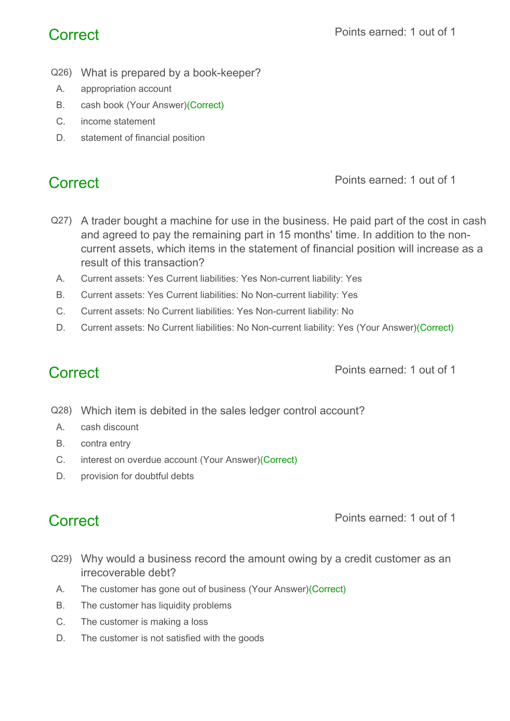- Q26) What is prepared by a book-keeper?
- A. appropriation account
- B. cash book (Your Answer)(Correct)
- C. income statement
- D. statement of financial position

- Q27) A trader bought a machine for use in the business. He paid part of the cost in cash and agreed to pay the remaining part in 15 months' time. In addition to the noncurrent assets, which items in the statement of financial position will increase as a result of this transaction?
	- A. Current assets: Yes Current liabilities: Yes Non-current liability: Yes
- B. Current assets: Yes Current liabilities: No Non-current liability: Yes
- C. Current assets: No Current liabilities: Yes Non-current liability: No
- D. Current assets: No Current liabilities: No Non-current liability: Yes (Your Answer)(Correct)

**Correct Points earned: 1 out of 1** 

- Q28) Which item is debited in the sales ledger control account?
- A. cash discount
- B. contra entry
- C. interest on overdue account (Your Answer)(Correct)
- D. provision for doubtful debts

- Q29) Why would a business record the amount owing by a credit customer as an irrecoverable debt?
- A. The customer has gone out of business (Your Answer)(Correct)
- B. The customer has liquidity problems
- C. The customer is making a loss
- D. The customer is not satisfied with the goods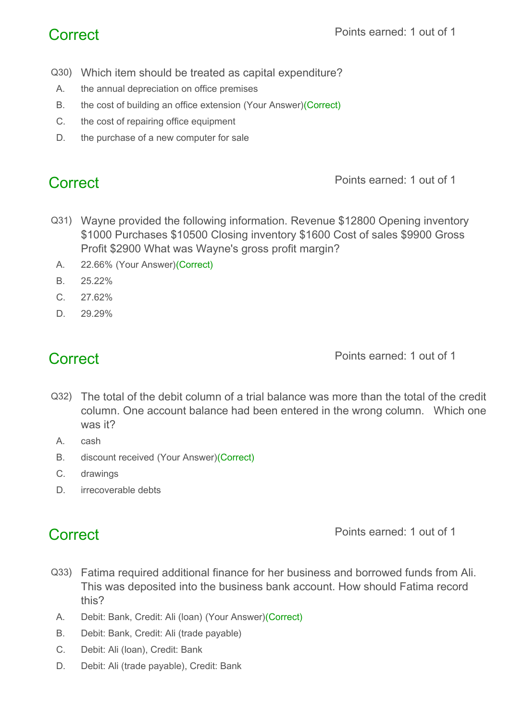- Q30) Which item should be treated as capital expenditure?
- A. the annual depreciation on office premises
- B. the cost of building an office extension (Your Answer)(Correct)
- C. the cost of repairing office equipment
- D. the purchase of a new computer for sale

- Q31) Wayne provided the following information. Revenue \$12800 Opening inventory \$1000 Purchases \$10500 Closing inventory \$1600 Cost of sales \$9900 Gross Profit \$2900 What was Wayne's gross profit margin?
	- A. 22.66% (Your Answer)(Correct)
	- B. 25.22%
- C. 27.62%
- D. 29.29%

**Correct Points earned: 1 out of 1** 

- Q32) The total of the debit column of a trial balance was more than the total of the credit column. One account balance had been entered in the wrong column. Which one was it?
	- A. cash
	- B. discount received (Your Answer)(Correct)
	- C. drawings
	- D. **irrecoverable debts**

- Q33) Fatima required additional finance for her business and borrowed funds from Ali. This was deposited into the business bank account. How should Fatima record this?
	- A. Debit: Bank, Credit: Ali (loan) (Your Answer)(Correct)
	- B. Debit: Bank, Credit: Ali (trade payable)
	- C. Debit: Ali (loan), Credit: Bank
	- D. Debit: Ali (trade payable), Credit: Bank